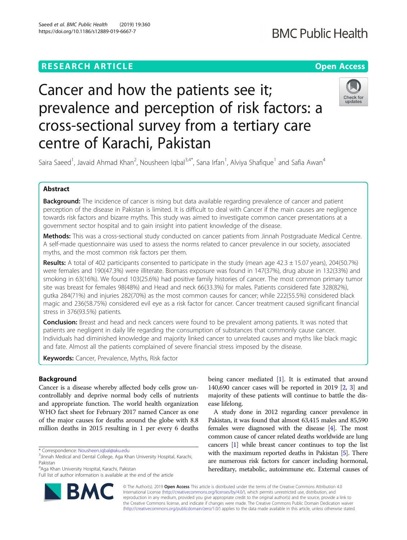### **RESEARCH ARTICLE Example 2014 12:30 The Contract of Contract ACCESS**

## **BMC Public Health**

# Cancer and how the patients see it; prevalence and perception of risk factors: a cross-sectional survey from a tertiary care centre of Karachi, Pakistan



Saira Saeed<sup>1</sup>, Javaid Ahmad Khan<sup>2</sup>, Nousheen Iqbal<sup>3,4\*</sup>, Sana Irfan<sup>1</sup>, Alviya Shafique<sup>1</sup> and Safia Awan<sup>4</sup>

#### Abstract

Background: The incidence of cancer is rising but data available regarding prevalence of cancer and patient perception of the disease in Pakistan is limited. It is difficult to deal with Cancer if the main causes are negligence towards risk factors and bizarre myths. This study was aimed to investigate common cancer presentations at a government sector hospital and to gain insight into patient knowledge of the disease.

Methods: This was a cross-sectional study conducted on cancer patients from Jinnah Postgraduate Medical Centre. A self-made questionnaire was used to assess the norms related to cancer prevalence in our society, associated myths, and the most common risk factors per them.

**Results:** A total of 402 participants consented to participate in the study (mean age  $42.3 \pm 15.07$  years), 204(50.7%) were females and 190(47.3%) were illiterate. Biomass exposure was found in 147(37%), drug abuse in 132(33%) and smoking in 63(16%). We found 103(25.6%) had positive family histories of cancer. The most common primary tumor site was breast for females 98(48%) and Head and neck 66(33.3%) for males. Patients considered fate 328(82%), gutka 284(71%) and injuries 282(70%) as the most common causes for cancer; while 222(55.5%) considered black magic and 236(58.75%) considered evil eye as a risk factor for cancer. Cancer treatment caused significant financial stress in 376(93.5%) patients.

**Conclusion:** Breast and head and neck cancers were found to be prevalent among patients. It was noted that patients are negligent in daily life regarding the consumption of substances that commonly cause cancer. Individuals had diminished knowledge and majority linked cancer to unrelated causes and myths like black magic and fate. Almost all the patients complained of severe financial stress imposed by the disease.

Keywords: Cancer, Prevalence, Myths, Risk factor

#### Background

Cancer is a disease whereby affected body cells grow uncontrollably and deprive normal body cells of nutrients and appropriate function. The world health organization WHO fact sheet for February 2017 named Cancer as one of the major causes for deaths around the globe with 8.8 million deaths in 2015 resulting in 1 per every 6 deaths

4 Aga Khan University Hospital, Karachi, Pakistan

Full list of author information is available at the end of the article



being cancer mediated [[1\]](#page-6-0). It is estimated that around 140,690 cancer cases will be reported in 2019 [\[2,](#page-6-0) [3\]](#page-6-0) and majority of these patients will continue to battle the disease lifelong.

A study done in 2012 regarding cancer prevalence in Pakistan, it was found that almost 63,415 males and 85,590 females were diagnosed with the disease [\[4\]](#page-6-0). The most common cause of cancer related deaths worldwide are lung cancers [\[1](#page-6-0)] while breast cancer continues to top the list with the maximum reported deaths in Pakistan [\[5](#page-6-0)]. There are numerous risk factors for cancer including hormonal, hereditary, metabolic, autoimmune etc. External causes of

© The Author(s). 2019 Open Access This article is distributed under the terms of the Creative Commons Attribution 4.0 International License [\(http://creativecommons.org/licenses/by/4.0/](http://creativecommons.org/licenses/by/4.0/)), which permits unrestricted use, distribution, and reproduction in any medium, provided you give appropriate credit to the original author(s) and the source, provide a link to the Creative Commons license, and indicate if changes were made. The Creative Commons Public Domain Dedication waiver [\(http://creativecommons.org/publicdomain/zero/1.0/](http://creativecommons.org/publicdomain/zero/1.0/)) applies to the data made available in this article, unless otherwise stated.

<sup>\*</sup> Correspondence: [Nousheen.iqbal@aku.edu](mailto:Nousheen.iqbal@aku.edu) <sup>3</sup>

 $3$ Jinnah Medical and Dental College, Aga Khan University Hospital, Karachi, Pakistan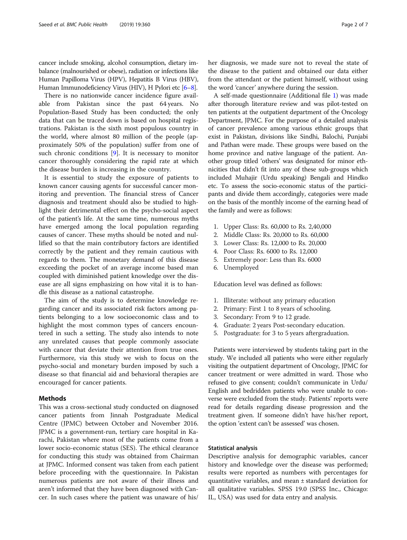cancer include smoking, alcohol consumption, dietary imbalance (malnourished or obese), radiation or infections like Human Papilloma Virus (HPV), Hepatitis B Virus (HBV), Human Immunodeficiency Virus (HIV), H Pylori etc [\[6](#page-6-0)–[8](#page-6-0)].

There is no nationwide cancer incidence figure available from Pakistan since the past 64 years. No Population-Based Study has been conducted; the only data that can be traced down is based on hospital registrations. Pakistan is the sixth most populous country in the world, where almost 80 million of the people (approximately 50% of the population) suffer from one of such chronic conditions [\[9](#page-6-0)]. It is necessary to monitor cancer thoroughly considering the rapid rate at which the disease burden is increasing in the country.

It is essential to study the exposure of patients to known cancer causing agents for successful cancer monitoring and prevention. The financial stress of Cancer diagnosis and treatment should also be studied to highlight their detrimental effect on the psycho-social aspect of the patient's life. At the same time, numerous myths have emerged among the local population regarding causes of cancer. These myths should be noted and nullified so that the main contributory factors are identified correctly by the patient and they remain cautious with regards to them. The monetary demand of this disease exceeding the pocket of an average income based man coupled with diminished patient knowledge over the disease are all signs emphasizing on how vital it is to handle this disease as a national catastrophe.

The aim of the study is to determine knowledge regarding cancer and its associated risk factors among patients belonging to a low socioeconomic class and to highlight the most common types of cancers encountered in such a setting. The study also intends to note any unrelated causes that people commonly associate with cancer that deviate their attention from true ones. Furthermore, via this study we wish to focus on the psycho-social and monetary burden imposed by such a disease so that financial aid and behavioral therapies are encouraged for cancer patients.

#### Methods

This was a cross-sectional study conducted on diagnosed cancer patients from Jinnah Postgraduate Medical Centre (JPMC) between October and November 2016. JPMC is a government-run, tertiary care hospital in Karachi, Pakistan where most of the patients come from a lower socio-economic status (SES). The ethical clearance for conducting this study was obtained from Chairman at JPMC. Informed consent was taken from each patient before proceeding with the questionnaire. In Pakistan numerous patients are not aware of their illness and aren't informed that they have been diagnosed with Cancer. In such cases where the patient was unaware of his/ her diagnosis, we made sure not to reveal the state of the disease to the patient and obtained our data either from the attendant or the patient himself, without using the word 'cancer' anywhere during the session.

A self-made questionnaire (Additional file [1\)](#page-5-0) was made after thorough literature review and was pilot-tested on ten patients at the outpatient department of the Oncology Department, JPMC. For the purpose of a detailed analysis of cancer prevalence among various ethnic groups that exist in Pakistan, divisions like Sindhi, Balochi, Punjabi and Pathan were made. These groups were based on the home province and native language of the patient. Another group titled 'others' was designated for minor ethnicities that didn't fit into any of these sub-groups which included Muhajir (Urdu speaking) Bengali and Hindko etc. To assess the socio-economic status of the participants and divide them accordingly, categories were made on the basis of the monthly income of the earning head of the family and were as follows:

- 1. Upper Class: Rs. 60,000 to Rs. 2,40,000
- 2. Middle Class: Rs. 20,000 to Rs. 60,000
- 3. Lower Class: Rs. 12,000 to Rs. 20,000
- 4. Poor Class: Rs. 6000 to Rs. 12,000
- 5. Extremely poor: Less than Rs. 6000
- 6. Unemployed

Education level was defined as follows:

- 1. Illiterate: without any primary education
- 2. Primary: First 1 to 8 years of schooling.
- 3. Secondary: From 9 to 12 grade.
- 4. Graduate: 2 years Post-secondary education.
- 5. Postgraduate: for 3 to 5 years aftergraduation.

Patients were interviewed by students taking part in the study. We included all patients who were either regularly visiting the outpatient department of Oncology, JPMC for cancer treatment or were admitted in ward. Those who refused to give consent; couldn't communicate in Urdu/ English and bedridden patients who were unable to converse were excluded from the study. Patients' reports were read for details regarding disease progression and the treatment given. If someone didn't have his/her report, the option 'extent can't be assessed' was chosen.

#### Statistical analysis

Descriptive analysis for demographic variables, cancer history and knowledge over the disease was performed; results were reported as numbers with percentages for quantitative variables, and mean ± standard deviation for all qualitative variables. SPSS 19.0 (SPSS Inc., Chicago: IL, USA) was used for data entry and analysis.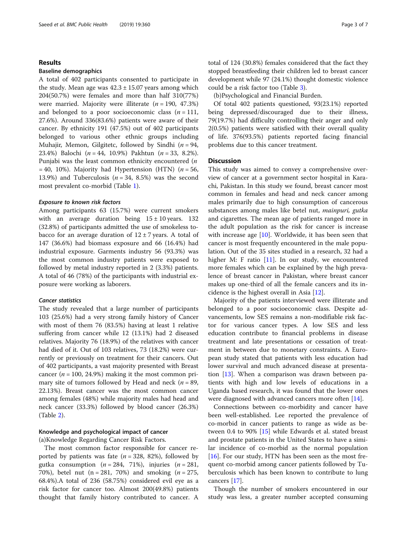#### Results

#### Baseline demographics

A total of 402 participants consented to participate in the study. Mean age was  $42.3 \pm 15.07$  years among which 204(50.7%) were females and more than half 310(77%) were married. Majority were illiterate  $(n = 190, 47.3\%)$ and belonged to a poor socioeconomic class  $(n = 111)$ , 27.6%). Around 336(83.6%) patients were aware of their cancer. By ethnicity 191 (47.5%) out of 402 participants belonged to various other ethnic groups including Muhajir, Memon, Gilgitetc, followed by Sindhi ( $n = 94$ , 23.4%) Balochi ( $n = 44$ , 10.9%) Pakhtun ( $n = 33$ , 8.2%). Punjabi was the least common ethnicity encountered (n  $= 40, 10\%$ ). Majority had Hypertension (HTN) (*n* = 56, 13.9%) and Tuberculosis ( $n = 34$ , 8.5%) was the second most prevalent co-morbid (Table [1\)](#page-3-0).

#### Exposure to known risk factors

Among participants 63 (15.7%) were current smokers with an average duration being  $15 \pm 10$  years. 132 (32.8%) of participants admitted the use of smokeless tobacco for an average duration of  $12 \pm 7$  years. A total of 147 (36.6%) had biomass exposure and 66 (16.4%) had industrial exposure. Garments industry 56 (93.3%) was the most common industry patients were exposed to followed by metal industry reported in 2 (3.3%) patients. A total of 46 (78%) of the participants with industrial exposure were working as laborers.

#### Cancer statistics

The study revealed that a large number of participants 103 (25.6%) had a very strong family history of Cancer with most of them 76 (83.5%) having at least 1 relative suffering from cancer while 12 (13.1%) had 2 diseased relatives. Majority 76 (18.9%) of the relatives with cancer had died of it. Out of 103 relatives, 73 (18.2%) were currently or previously on treatment for their cancers. Out of 402 participants, a vast majority presented with Breast cancer ( $n = 100, 24.9\%$ ) making it the most common primary site of tumors followed by Head and neck ( $n = 89$ , 22.13%). Breast cancer was the most common cancer among females (48%) while majority males had head and neck cancer (33.3%) followed by blood cancer (26.3%) (Table [2\)](#page-3-0).

#### Knowledge and psychological impact of cancer

(a)Knowledge Regarding Cancer Risk Factors.

The most common factor responsible for cancer reported by patients was fate ( $n = 328$ , 82%), followed by gutka consumption ( $n = 284$ , 71%), injuries ( $n = 281$ , 70%), betel nut (n = 281, 70%) and smoking ( $n = 275$ , 68.4%).A total of 236 (58.75%) considered evil eye as a risk factor for cancer too. Almost 200(49.8%) patients thought that family history contributed to cancer. A total of 124 (30.8%) females considered that the fact they stopped breastfeeding their children led to breast cancer development while 97 (24.1%) thought domestic violence could be a risk factor too (Table [3](#page-4-0)).

(b)Psychological and Financial Burden.

Of total 402 patients questioned, 93(23.1%) reported being depressed/discouraged due to their illness, 79(19.7%) had difficulty controlling their anger and only 2(0.5%) patients were satisfied with their overall quality of life. 376(93.5%) patients reported facing financial problems due to this cancer treatment.

#### **Discussion**

This study was aimed to convey a comprehensive overview of cancer at a government sector hospital in Karachi, Pakistan. In this study we found, breast cancer most common in females and head and neck cancer among males primarily due to high consumption of cancerous substances among males like betel nut, mainpuri, gutka and cigarettes. The mean age of patients ranged more in the adult population as the risk for cancer is increase with increase age  $[10]$  $[10]$  $[10]$ . Worldwide, it has been seen that cancer is most frequently encountered in the male population. Out of the 35 sites studied in a research, 32 had a higher M: F ratio [\[11](#page-6-0)]. In our study, we encountered more females which can be explained by the high prevalence of breast cancer in Pakistan, where breast cancer makes up one-third of all the female cancers and its incidence is the highest overall in Asia [[12](#page-6-0)].

Majority of the patients interviewed were illiterate and belonged to a poor socioeconomic class. Despite advancements, low SES remains a non-modifiable risk factor for various cancer types. A low SES and less education contribute to financial problems in disease treatment and late presentations or cessation of treatment in between due to monetary constraints. A European study stated that patients with less education had lower survival and much advanced disease at presentation [\[13](#page-6-0)]. When a comparison was drawn between patients with high and low levels of educations in a Uganda based research, it was found that the lower ones were diagnosed with advanced cancers more often [\[14](#page-6-0)].

Connections between co-morbidity and cancer have been well-established. Lee reported the prevalence of co-morbid in cancer patients to range as wide as between 0.4 to 90% [[15\]](#page-6-0) while Edwards et al. stated breast and prostate patients in the United States to have a similar incidence of co-morbid as the normal population [ $16$ ]. For our study, HTN has been seen as the most frequent co-morbid among cancer patients followed by Tuberculosis which has been known to contribute to lung cancers [\[17](#page-6-0)].

Though the number of smokers encountered in our study was less, a greater number accepted consuming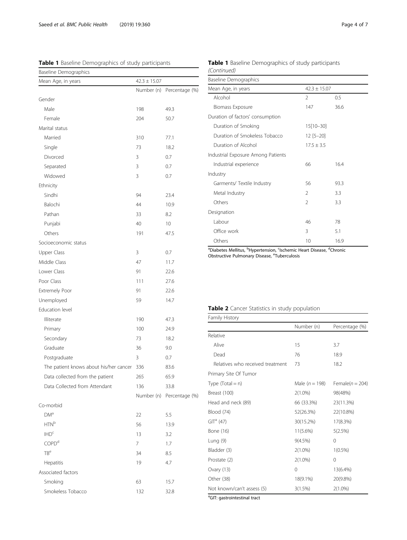<span id="page-3-0"></span>Table 1 Baseline Demographics of study participants

| Baseline Demographics                  |            |                           |  |
|----------------------------------------|------------|---------------------------|--|
| $42.3 \pm 15.07$<br>Mean Age, in years |            |                           |  |
|                                        | Number (n) | Percentage (%)            |  |
| Gender                                 |            |                           |  |
| Male                                   | 198        | 49.3                      |  |
| Female                                 | 204        | 50.7                      |  |
| Marital status                         |            |                           |  |
| Married                                | 310        | 77.1                      |  |
| Single                                 | 73         | 18.2                      |  |
| Divorced                               | 3          | 0.7                       |  |
| Separated                              | 3          | 0.7                       |  |
| Widowed                                | 3          | 0.7                       |  |
| Ethnicity                              |            |                           |  |
| Sindhi                                 | 94         | 23.4                      |  |
| Balochi                                | 44         | 10.9                      |  |
| Pathan                                 | 33         | 8.2                       |  |
| Punjabi                                | 40         | 10                        |  |
| Others                                 | 191        | 47.5                      |  |
| Socioeconomic status                   |            |                           |  |
| Upper Class                            | 3          | 0.7                       |  |
| Middle Class                           | 47         | 11.7                      |  |
| Lower Class                            | 91         | 22.6                      |  |
| Poor Class                             | 111        | 27.6                      |  |
| Extremely Poor                         | 91         | 22.6                      |  |
| Unemployed                             | 59         | 14.7                      |  |
| Education level                        |            |                           |  |
| Illiterate                             | 190        | 47.3                      |  |
| Primary                                | 100        | 24.9                      |  |
| Secondary                              | 73         | 18.2                      |  |
| Graduate                               | 36         | 9.0                       |  |
| Postgraduate                           | 3          | 0.7                       |  |
| The patient knows about his/her cancer | 336        | 83.6                      |  |
| Data collected from the patient        | 265        | 65.9                      |  |
| Data Collected from Attendant          | 136        | 33.8                      |  |
|                                        |            | Number (n) Percentage (%) |  |
| Co-morbid                              |            |                           |  |
| <b>DM</b> <sup>a</sup>                 | 22         | 5.5                       |  |
| HTN <sup>b</sup>                       | 56         | 13.9                      |  |
| $\mathsf{IHD}^\mathsf{c}$              | 13         | 3.2                       |  |
| COPD <sup>d</sup>                      | 7          | 1.7                       |  |
| TB <sup>e</sup>                        | 34         | 8.5                       |  |
| Hepatitis                              | 19         | 4.7                       |  |
| Associated factors                     |            |                           |  |
| Smoking                                | 63         | 15.7                      |  |
| Smokeless Tobacco                      | 132        | 32.8                      |  |

|             | Table 1 Baseline Demographics of study participants |  |
|-------------|-----------------------------------------------------|--|
| (Continued) |                                                     |  |

| <b>Baseline Demographics</b>       |                  |      |  |
|------------------------------------|------------------|------|--|
| Mean Age, in years                 | $42.3 \pm 15.07$ |      |  |
| Alcohol                            | 2                | 0.5  |  |
| Biomass Exposure                   | 147              | 36.6 |  |
| Duration of factors' consumption   |                  |      |  |
| Duration of Smoking                | $15[10 - 30]$    |      |  |
| Duration of Smokeless Tobacco      | $12 [5 - 20]$    |      |  |
| Duration of Alcohol                | $17.5 \pm 3.5$   |      |  |
| Industrial Exposure Among Patients |                  |      |  |
| Industrial experience              | 66               | 16.4 |  |
| Industry                           |                  |      |  |
| Garments/ Textile Industry         | 56               | 93.3 |  |
| Metal Industry                     | $\mathfrak{D}$   | 3.3  |  |
| Others                             | $\mathfrak{D}$   | 3.3  |  |
| Designation                        |                  |      |  |
| Labour                             | 46               | 78   |  |
| Office work                        | 3                | 5.1  |  |
| Others                             | 10               | 16.9 |  |

<sup>a</sup>Diabetes Mellitus, <sup>b</sup>Hypertension, <sup>c</sup>Ischemic Heart Disease, <sup>d</sup>Chronic<br>Obstructive Pulmonary Disease, <sup>e</sup>Tuberculosis

#### Table 2 Cancer Statistics in study population

| Family History                           |                  |                     |
|------------------------------------------|------------------|---------------------|
|                                          | Number (n)       | Percentage (%)      |
| Relative                                 |                  |                     |
| Alive                                    | 15               | 3.7                 |
| Dead                                     | 76               | 18.9                |
| Relatives who received treatment         | 73               | 18.2                |
| Primary Site Of Tumor                    |                  |                     |
| Type $(Total = n)$                       | Male $(n = 198)$ | Female( $n = 204$ ) |
| Breast (100)                             | $2(1.0\%)$       | 98(48%)             |
| Head and neck (89)                       | 66 (33.3%)       | 23(11.3%)           |
| Blood (74)                               | 52(26.3%)        | 22(10.8%)           |
| $GITa$ (47)                              | 30(15.2%)        | 17(8.3%)            |
| Bone (16)                                | $11(5.6\%)$      | 5(2.5%)             |
| Lung $(9)$                               | $9(4.5\%)$       | 0                   |
| Bladder (3)                              | $2(1.0\%)$       | $1(0.5\%)$          |
| Prostate (2)                             | $2(1.0\%)$       | $\Omega$            |
| Ovary (13)                               | $\Omega$         | 13(6.4%)            |
| Other (38)                               | 18(9.1%)         | 20(9.8%)            |
| Not known/can't assess (5)               | 3(1.5%)          | $2(1.0\%)$          |
| <sup>a</sup> GIT: gastrointestinal tract |                  |                     |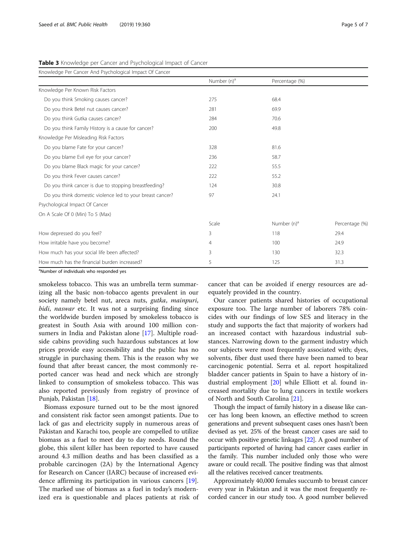| Knowledge Per Cancer And Psychological Impact Of Cancer   |                         |                         |                |
|-----------------------------------------------------------|-------------------------|-------------------------|----------------|
|                                                           | Number (n) <sup>a</sup> | Percentage (%)          |                |
| Knowledge Per Known Risk Factors                          |                         |                         |                |
| Do you think Smoking causes cancer?                       | 275                     | 68.4                    |                |
| Do you think Betel nut causes cancer?                     | 281                     | 69.9                    |                |
| Do you think Gutka causes cancer?                         | 284                     | 70.6                    |                |
| Do you think Family History is a cause for cancer?        | 200                     | 49.8                    |                |
| Knowledge Per Misleading Risk Factors                     |                         |                         |                |
| Do you blame Fate for your cancer?                        | 328                     | 81.6                    |                |
| Do you blame Evil eye for your cancer?                    | 236                     | 58.7                    |                |
| Do you blame Black magic for your cancer?                 | 222                     | 55.5                    |                |
| Do you think Fever causes cancer?                         | 222                     | 55.2                    |                |
| Do you think cancer is due to stopping breastfeeding?     | 124                     | 30.8                    |                |
| Do you think domestic violence led to your breast cancer? | 97                      | 24.1                    |                |
| Psychological Impact Of Cancer                            |                         |                         |                |
| On A Scale Of 0 (Min) To 5 (Max)                          |                         |                         |                |
|                                                           | Scale                   | Number (n) <sup>a</sup> | Percentage (%) |
| How depressed do you feel?                                | 3                       | 118                     | 29.4           |
| How irritable have you become?                            | 4                       | 100                     | 24.9           |
| How much has your social life been affected?              | 3                       | 130                     | 32.3           |
| How much has the financial burden increased?              | 5                       | 125                     | 31.3           |

<span id="page-4-0"></span>Table 3 Knowledge per Cancer and Psychological Impact of Cancer

<sup>a</sup>Number of individuals who responded yes

smokeless tobacco. This was an umbrella term summarizing all the basic non-tobacco agents prevalent in our society namely betel nut, areca nuts, gutka, mainpuri, bidi, naswar etc. It was not a surprising finding since the worldwide burden imposed by smokeless tobacco is greatest in South Asia with around 100 million consumers in India and Pakistan alone [\[17\]](#page-6-0). Multiple roadside cabins providing such hazardous substances at low prices provide easy accessibility and the public has no struggle in purchasing them. This is the reason why we found that after breast cancer, the most commonly reported cancer was head and neck which are strongly linked to consumption of smokeless tobacco. This was also reported previously from registry of province of Punjab, Pakistan [\[18](#page-6-0)].

Biomass exposure turned out to be the most ignored and consistent risk factor seen amongst patients. Due to lack of gas and electricity supply in numerous areas of Pakistan and Karachi too, people are compelled to utilize biomass as a fuel to meet day to day needs. Round the globe, this silent killer has been reported to have caused around 4.3 million deaths and has been classified as a probable carcinogen (2A) by the International Agency for Research on Cancer (IARC) because of increased evidence affirming its participation in various cancers [\[19](#page-6-0)]. The marked use of biomass as a fuel in today's modernized era is questionable and places patients at risk of

cancer that can be avoided if energy resources are adequately provided in the country.

Our cancer patients shared histories of occupational exposure too. The large number of laborers 78% coincides with our findings of low SES and literacy in the study and supports the fact that majority of workers had an increased contact with hazardous industrial substances. Narrowing down to the garment industry which our subjects were most frequently associated with; dyes, solvents, fiber dust used there have been named to bear carcinogenic potential. Serra et al. report hospitalized bladder cancer patients in Spain to have a history of industrial employment [[20\]](#page-6-0) while Elliott et al. found increased mortality due to lung cancers in textile workers of North and South Carolina [\[21\]](#page-6-0).

Though the impact of family history in a disease like cancer has long been known, an effective method to screen generations and prevent subsequent cases ones hasn't been devised as yet. 25% of the breast cancer cases are said to occur with positive genetic linkages [[22](#page-6-0)]. A good number of participants reported of having had cancer cases earlier in the family. This number included only those who were aware or could recall. The positive finding was that almost all the relatives received cancer treatments.

Approximately 40,000 females succumb to breast cancer every year in Pakistan and it was the most frequently recorded cancer in our study too. A good number believed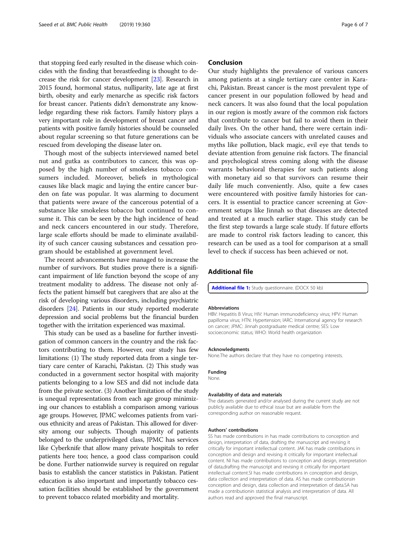<span id="page-5-0"></span>that stopping feed early resulted in the disease which coincides with the finding that breastfeeding is thought to decrease the risk for cancer development [\[23\]](#page-6-0). Research in 2015 found, hormonal status, nulliparity, late age at first birth, obesity and early menarche as specific risk factors for breast cancer. Patients didn't demonstrate any knowledge regarding these risk factors. Family history plays a very important role in development of breast cancer and patients with positive family histories should be counseled about regular screening so that future generations can be rescued from developing the disease later on.

Though most of the subjects interviewed named betel nut and gutka as contributors to cancer, this was opposed by the high number of smokeless tobacco consumers included. Moreover, beliefs in mythological causes like black magic and laying the entire cancer burden on fate was popular. It was alarming to document that patients were aware of the cancerous potential of a substance like smokeless tobacco but continued to consume it. This can be seen by the high incidence of head and neck cancers encountered in our study. Therefore, large scale efforts should be made to eliminate availability of such cancer causing substances and cessation program should be established at government level.

The recent advancements have managed to increase the number of survivors. But studies prove there is a significant impairment of life function beyond the scope of any treatment modality to address. The disease not only affects the patient himself but caregivers that are also at the risk of developing various disorders, including psychiatric disorders [\[24\]](#page-6-0). Patients in our study reported moderate depression and social problems but the financial burden together with the irritation experienced was maximal.

This study can be used as a baseline for further investigation of common cancers in the country and the risk factors contributing to them. However, our study has few limitations: (1) The study reported data from a single tertiary care center of Karachi, Pakistan. (2) This study was conducted in a government sector hospital with majority patients belonging to a low SES and did not include data from the private sector. (3) Another limitation of the study is unequal representations from each age group minimizing our chances to establish a comparison among various age groups. However, JPMC welcomes patients from various ethnicity and areas of Pakistan. This allowed for diversity among our subjects. Though majority of patients belonged to the underprivileged class, JPMC has services like Cyberknife that allow many private hospitals to refer patients here too; hence, a good class comparison could be done. Further nationwide survey is required on regular basis to establish the cancer statistics in Pakistan. Patient education is also important and importantly tobacco cessation facilities should be established by the government to prevent tobacco related morbidity and mortality.

#### Conclusion

Our study highlights the prevalence of various cancers among patients at a single tertiary care center in Karachi, Pakistan. Breast cancer is the most prevalent type of cancer present in our population followed by head and neck cancers. It was also found that the local population in our region is mostly aware of the common risk factors that contribute to cancer but fail to avoid them in their daily lives. On the other hand, there were certain individuals who associate cancers with unrelated causes and myths like pollution, black magic, evil eye that tends to deviate attention from genuine risk factors. The financial and psychological stress coming along with the disease warrants behavioral therapies for such patients along with monetary aid so that survivors can resume their daily life much conveniently. Also, quite a few cases were encountered with positive family histories for cancers. It is essential to practice cancer screening at Government setups like Jinnah so that diseases are detected and treated at a much earlier stage. This study can be the first step towards a large scale study. If future efforts are made to control risk factors leading to cancer, this research can be used as a tool for comparison at a small level to check if success has been achieved or not.

#### Additional file

[Additional file 1:](https://doi.org/10.1186/s12889-019-6667-7) Study questionnaire. (DOCX 50 kb)

#### Abbreviations

HBV: Hepatitis B Virus; HIV: Human immunodeficiency virus; HPV: Human papilloma virus; HTN: Hypertension; IARC: International agency for research on cancer; JPMC: Jinnah postgraduate medical centre; SES: Low socioeconomic status; WHO: World health organization

#### Acknowledgments

None.The authors declare that they have no competing interests.

Funding None.

#### Availability of data and materials

The datasets generated and/or analysed during the current study are not publicly available due to ethical issue but are available from the corresponding author on reasonable request.

#### Authors' contributions

SS has made contributions in has made contributions to conception and design, interpretation of data, drafting the manuscript and revising it critically for important intellectual content. JAK has made contributions in conception and design and revising it critically for important intellectual content. NI has made contributions to conception and design, interpretation of data,drafting the manuscript and revising it critically for important intellectual content.SI has made contributions in conception and design, data collection and interpretation of data. AS has made contributionsin conception and design, data collection and interpretation of data.SA has made a contributionin statistical analysis and interpretation of data. All authors read and approved the final manuscript.